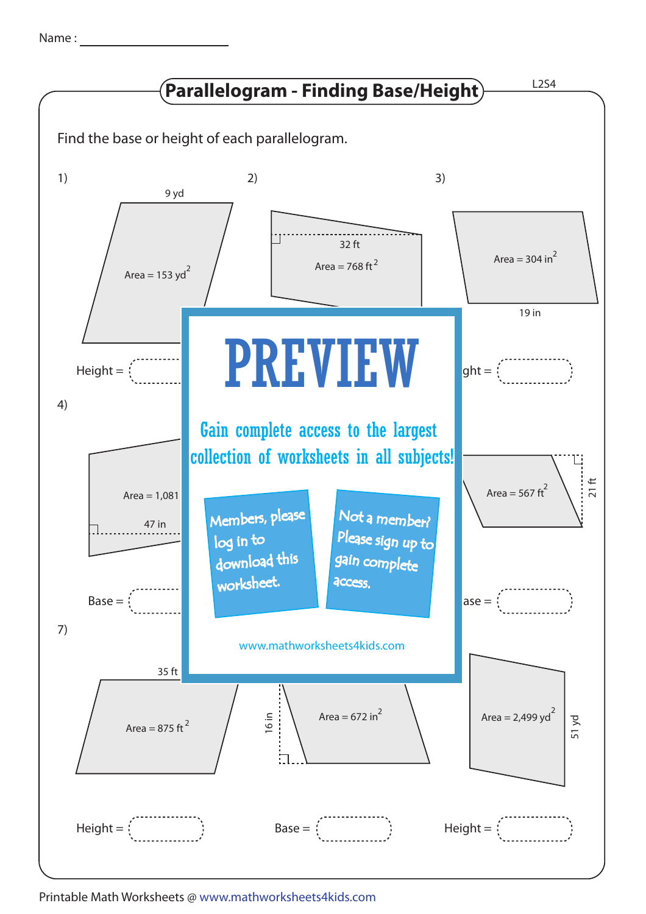| Name |  |
|------|--|
|      |  |



Printable Math Worksheets @ www.mathworksheets4kids.com